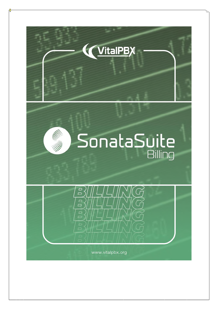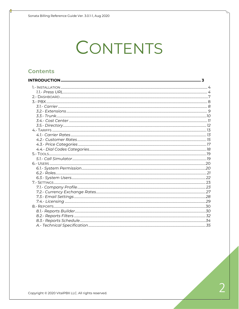# CONTENTS

#### **Contents**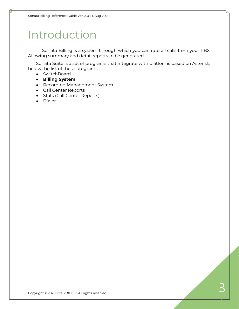# <span id="page-2-0"></span>Introduction

Sonata Billing is a system through which you can rate all calls from your PBX. Allowing summary and detail reports to be generated.

Sonata Suite is a set of programs that integrate with platforms based on Asterisk, below the list of these programs:

- SwitchBoard
- **Billing System**
- Recording Management System
- Call Center Reports
- Stats (Call Center Reports)
- Dialer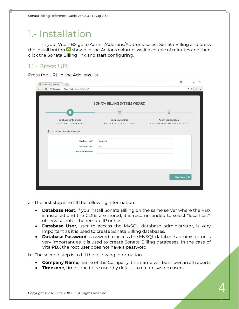# <span id="page-3-0"></span>1.- Installation

In your VitalPBX go to Admin/Add-ons/Add-ons, select Sonata Billing and press the install button  $\bullet$  shown in the Actions column. Wait a couple of minutes and then click the Sonata Billing link and start configuring.

### <span id="page-3-1"></span>1.1.- Press URL

Press the URL in the Add-ons list.

|                                                                             | SONATA BILLING SYSTEM WIZARD                                            |                                                                                     |
|-----------------------------------------------------------------------------|-------------------------------------------------------------------------|-------------------------------------------------------------------------------------|
|                                                                             | 肩                                                                       | L                                                                                   |
| <b>Database Configuration</b><br>Provide us access to install the database. | <b>Company Settings</b><br>Give us some information about your company. | Admin Configuration<br>Setting up credentials for the administrative account login. |
| <b>E</b> DATABASE CONFIGURATIONS                                            |                                                                         |                                                                                     |
| Database Host *                                                             | localhost                                                               |                                                                                     |
| Database User *                                                             | root                                                                    |                                                                                     |
| Database Password                                                           |                                                                         |                                                                                     |
|                                                                             |                                                                         |                                                                                     |
|                                                                             |                                                                         |                                                                                     |

a.- The first step is to fill the following information

- **Database Host**, if you install Sonata Billing on the same server where the PBX is installed and the CDRs are stored, it is recommended to select "localhost", otherwise enter the remote IP or host.
- **Database User**, user to access the MySQL database administrator, is very important as it is used to create Sonata Billing databases.
- **Database Password**, password to access the MySQL database administrator, is very important as it is used to create Sonata Billing databases. In the case of VitalPBX the root user does not have a password.

b.- The second step is to fill the following information

- **Company Name**, name of the Company, this name will be shown in all reports
- **Timezone**, time zone to be used by default to create system users.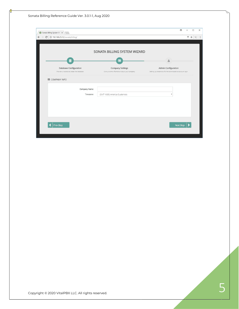| Sonata Billing System Winx                                   |                                              | $\theta$<br>$\Box$<br>$\times$<br>$\overline{\phantom{0}}$   |
|--------------------------------------------------------------|----------------------------------------------|--------------------------------------------------------------|
| $\leftarrow$ $\rightarrow$ C   192.168.25.12/sonata/billing/ |                                              | <b>T ☆ ( :</b>                                               |
|                                                              |                                              |                                                              |
|                                                              | SONATA BILLING SYSTEM WIZARD                 |                                                              |
|                                                              | $=$                                          | å                                                            |
| Database Configuration                                       | <b>Company Settings</b>                      | Admin Configuration                                          |
| Provide us access to install the database.                   | Give us some information about your company. | Setting up credentials for the administrative account login. |
| COMPANY INFO                                                 |                                              |                                                              |
| Company Name                                                 |                                              |                                                              |
| Timezone                                                     | (GMT-6:00) America/Guatemala                 |                                                              |
|                                                              |                                              |                                                              |
|                                                              |                                              |                                                              |
|                                                              |                                              |                                                              |
|                                                              |                                              |                                                              |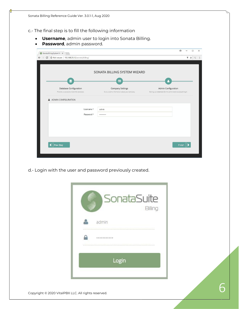c.- The final step is to fill the following information

- **Username**, admin user to login into Sonata Billing.
- **Password**, admin password.

| 192.168.25.12/sonata/billing/<br>$\mathbf C$ |                                              | ♥ ☆                                                          |
|----------------------------------------------|----------------------------------------------|--------------------------------------------------------------|
|                                              |                                              |                                                              |
|                                              |                                              |                                                              |
|                                              | SONATA BILLING SYSTEM WIZARD                 |                                                              |
| ≢                                            | $\blacksquare$                               |                                                              |
| <b>Database Configuration</b>                | <b>Company Settings</b>                      | Admin Configuration                                          |
| Provide us access to install the database.   | Give us some information about your company. | Setting up credentials for the administrative account login. |
| Password *                                   |                                              |                                                              |
| Username*                                    | admin                                        |                                                              |
|                                              |                                              |                                                              |
|                                              |                                              |                                                              |
|                                              |                                              |                                                              |
|                                              |                                              |                                                              |
| Prev Step                                    |                                              |                                                              |
|                                              |                                              | Finish                                                       |

d.- Login with the user and password previously created.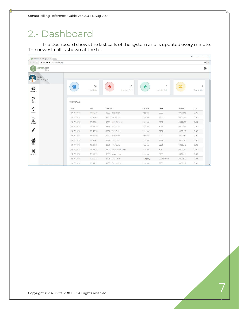# <span id="page-6-0"></span>2.- Dashboard

The Dashboard shows the last calls of the system and is updated every minute. The newest call is shown at the top.

| SonataSuite - Billing Syri X    |             |                   |                      |           |                     |          | $\theta$<br>O<br>$\times$ |
|---------------------------------|-------------|-------------------|----------------------|-----------|---------------------|----------|---------------------------|
| C 192.168.25.12/sonata/billing/ |             |                   |                      |           |                     |          | ☆ 1                       |
| SonataSuite<br>Bling            |             |                   |                      |           |                     |          | $\ddot{\phantom{a}}$      |
| Admin<br>eBD Nicaragua          |             |                   |                      |           |                     |          |                           |
| ☎<br><b>DASHBOARD</b>           | -9          | 30<br>Local Calls | 13<br>Outgoing Calls |           | 9<br>Incoming Calls |          | $\circ$<br>Transit Calls  |
| $\binom{n}{2}$<br>PBX           | TODAY CALLS |                   |                      |           |                     |          |                           |
| \$                              | Date        | Hour              | Extension            | Call Type | Callee              | Duration | Cost                      |
| <b>TARIFFS</b>                  | 2017/10/18  | 16:12:18          | 8250 - Recepcion     | Internal  | 8253                | 00:00:06 | 0.00                      |
| €                               | 2017/10/18  | 15:46:43          | 8250 - Recepcion     | Internal  | 8253                | 00:00:09 | 0.00.                     |
| <b>REPORTS</b>                  | 2017/10/18  | 15:46:34          | 8252 - Juan Romero   | Internal  | 8250                | 00:00:20 | 0.00.                     |
|                                 | 2017/10/18  | 15:43:49          | 8251 - Felix Gallo   | Internal  | 8250                | 00:00:06 | 0.00.                     |
| $\epsilon$                      | 2017/10/18  | 15:43:20          | 8251 - Felix Gallo   | Internal  | 8250                | 00:00:19 | 0.00                      |
| <b>TOOLS</b>                    | 2017/10/18  | 15:43:20          | 8250 - Recepcion     | Internal  | 8253                | 00:00:25 | 0.00.                     |
| 쓩                               | 2017/10/18  | 15:43:01          | 8251 - Felix Gallo   | Internal  | 8250                | 00:00:36 | 0.00                      |
| <b>USERS</b>                    | 2017/10/18  | 15:41:55          | 8251 - Felix Gallo   | Internal  | 8250                | 00:00:12 | 0.00                      |
| Q.                              | 2017/10/18  | 14:25:15          | 8264 - Rummer Moraga | Internal  | 8251                | 00:01:41 | 0.00                      |
| SETTINGS                        | 2017/10/18  | 13:59:23          | 8263 - Mauro Jiron   | Internal  | 8251                | 00:02:11 | 0.00.                     |
|                                 | 2017/10/18  | 13:52:33          | 8251 - Felix Gallo   | Outgoing  | 922668002           | 00:00:55 | 0.23                      |
|                                 | 2017/10/18  | 13:44:11          | 8253 - Contabilidad  | Internal  | 8253                | 00:00:19 | 0.00                      |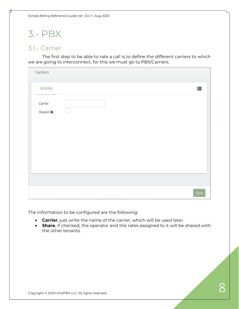Sonata Billing Reference Guide Ver. 3.0.1-1, Aug 2020

# <span id="page-7-0"></span>3.- PBX

### <span id="page-7-1"></span>3.1.- Carrier

The first step to be able to rate a call is to define the different carriers to which we are going to interconnect, for this we must go to PBX/Carriers.

| Carriers                       |  |      |
|--------------------------------|--|------|
| GENERAL                        |  | 這    |
| Carrier<br>Shared <sup>O</sup> |  |      |
|                                |  |      |
|                                |  | Save |

The information to be configured are the following:

- **Carrier**, just write the name of the carrier, which will be used later.
- **Share**, if checked, the operator and the rates assigned to it will be shared with the other tenants.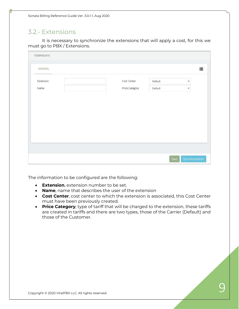### <span id="page-8-0"></span>3.2.- Extensions

It is necessary to synchronize the extensions that will apply a cost, for this we must go to PBX / Extensions.

| Extensions     |                |         |              |
|----------------|----------------|---------|--------------|
| <b>GENERAL</b> |                |         | 信            |
| Extension      | Cost Center    | Default | $\checkmark$ |
| Name           | Price Category | Default | $\checkmark$ |
|                |                |         |              |
|                |                |         |              |
|                |                |         |              |

The information to be configured are the following:

- **Extension**, extension number to be set.
- **Name**, name that describes the user of the extension
- **Cost Center**, cost center to which the extension is associated, this Cost Center must have been previously created.
- **Price Category**, type of tariff that will be charged to the extension, these tariffs are created in tariffs and there are two types, those of the Carrier (Default) and those of the Customer.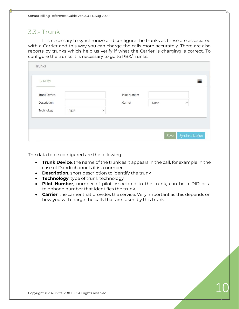### <span id="page-9-0"></span>3.3.- Trunk

It is necessary to synchronize and configure the trunks as these are associated with a Carrier and this way you can charge the calls more accurately. There are also reports by trunks which help us verify if what the Carrier is charging is correct. To configure the trunks it is necessary to go to PBX/Trunks.

| <b>Trunk Device</b> |       |              | Pilot Number |      |   |
|---------------------|-------|--------------|--------------|------|---|
| Description         |       |              | Carrier      | None | v |
| Technology          | PJSIP | $\checkmark$ |              |      |   |

- **Trunk Device**, the name of the trunk as it appears in the call, for example in the case of Dahdi channels it is a number.
- **Description**, short description to identify the trunk
- **Technology**, type of trunk technology
- **Pilot Number**, number of pilot associated to the trunk, can be a DID or a telephone number that identifies the trunk.
- **Carrier**, the carrier that provides the service. Very important as this depends on how you will charge the calls that are taken by this trunk.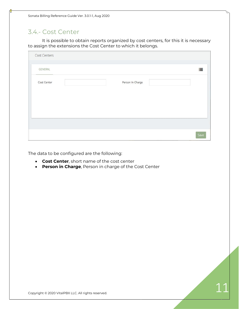### <span id="page-10-0"></span>3.4.- Cost Center

It is possible to obtain reports organized by cost centers, for this it is necessary to assign the extensions the Cost Center to which it belongs.

| Person In Charge |  | 這 |
|------------------|--|---|
|                  |  |   |
|                  |  |   |
|                  |  |   |
|                  |  |   |
|                  |  |   |
|                  |  |   |
|                  |  |   |
|                  |  |   |

- **Cost Center**, short name of the cost center
- **Person in Charge**, Person in charge of the Cost Center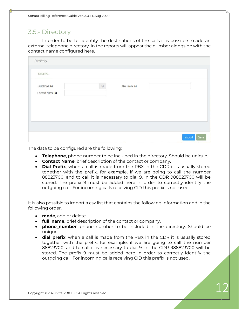### <span id="page-11-0"></span>3.5.- Directory

In order to better identify the destinations of the calls it is possible to add an external telephone directory. In the reports will appear the number alongside with the contact name configured here.

| Directory                                           |                |                          |                |
|-----------------------------------------------------|----------------|--------------------------|----------------|
| <b>GENERAL</b>                                      |                |                          |                |
| Telephone <sup>O</sup><br>Contact Name <sup>O</sup> | $\hbox{\tt Q}$ | Dial Prefix <sup>O</sup> |                |
|                                                     |                |                          |                |
|                                                     |                |                          | Import<br>Save |

The data to be configured are the following:

- **Telephone**, phone number to be included in the directory. Should be unique.
- **Contact Name**, brief description of the contact or company.
- **Dial Prefix**, when a call is made from the PBX in the CDR it is usually stored together with the prefix, for example, if we are going to call the number 88823700, and to call it is necessary to dial 9, in the CDR 988823700 will be stored. The prefix 9 must be added here in order to correctly identify the outgoing call. For incoming calls receiving CID this prefix is not used.

It is also possible to import a csv list that contains the following information and in the following order.

- **mode**, add or delete
- **full\_name**, brief description of the contact or company.
- **phone\_number**, phone number to be included in the directory. Should be unique.
- **dial\_prefix**, when a call is made from the PBX in the CDR it is usually stored together with the prefix, for example, if we are going to call the number 88823700, and to call it is necessary to dial 9, in the CDR 988823700 will be stored. The prefix 9 must be added here in order to correctly identify the outgoing call. For incoming calls receiving CID this prefix is not used.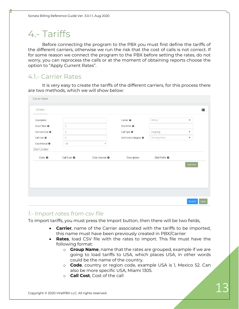# <span id="page-12-0"></span>4.- Tariffs

Before connecting the program to the PBX you must first define the tariffs of the different carriers, otherwise we run the risk that the cost of calls is not correct. If for some reason we connect the program to the PBX before setting the rates, do not worry, you can reprocess the calls or at the moment of obtaining reports choose the option to "Apply Current Rates".

### <span id="page-12-1"></span>4.1.- Carrier Rates

It is very easy to create the tariffs of the different carriers, for this process there are two methods, which we will show below:

| Description                |                        |                           | Carrier <sup>O</sup>             | Default                  | $\blacktriangledown$    |
|----------------------------|------------------------|---------------------------|----------------------------------|--------------------------|-------------------------|
| Grace Time <sup>O</sup>    | $\circ$                |                           | Dial Prefix <sup>O</sup>         |                          |                         |
| Connect Cost <sup>O</sup>  | $\mathbb O$            |                           | Call Type <sup>O</sup>           | Outgoing                 | $\overline{\mathbf{v}}$ |
| Call Cost <sup>O</sup>     | $\circ$                |                           | Dial Codes Category <sup>O</sup> | Uncategorized            | $\blacktriangledown$    |
| Cost Interval <sup>O</sup> | 60                     | $\boldsymbol{\mathrm{v}}$ |                                  |                          |                         |
| Dial Codes                 |                        |                           |                                  |                          |                         |
| Code $\odot$               | Call Cost <sup>O</sup> | Cost Interval @           | Description                      | Dial Prefix <sup>O</sup> |                         |
|                            |                        |                           |                                  |                          | Add New                 |
|                            |                        |                           |                                  |                          |                         |
|                            |                        |                           |                                  |                          |                         |
|                            |                        |                           |                                  |                          |                         |
|                            |                        |                           |                                  |                          |                         |

### *1.- Import rates from csv file*

To import tariffs, you must press the Import button, then there will be two fields,

- **Carrier**, name of the Carrier associated with the tariffs to be imported, this name must have been previously created in PBX/Carrier
- **Rates**, load CSV file with the rates to import. This file must have the following format:
	- o **Group Name**, name that the rates are grouped, example if we are going to load tariffs to USA, which places USA, in other words could be the name of the country.
	- o **Code**, country or region code, example USA is 1, Mexico 52. Can also be more specific USA, Miami 1305.
	- o **Call Cost**, Cost of the call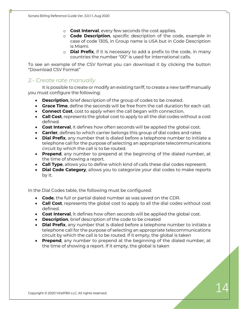- o **Cost Interval**, every few seconds the cost applies.
- o **Code Description**, specific description of the code, example in case of code 1305, in Group name is USA but in Code Description is Miami.
- o **Dial Prefix**, if it is necessary to add a prefix to the code, in many countries the number "00" is used for international calls.

To see an example of the CSV format you can download it by clicking the button "Download CSV Format"

#### *2.- Create rate manually*

It is possible to create or modify an existing tariff, to create a new tariff manually you must configure the following:

- **Description**, brief description of the group of codes to be created.
- **Grace Time**, define the seconds will be free from the call duration for each call.
- **Connect Cost**, cost to apply when the call began with connection.
- **Call Cost**, represents the global cost to apply to all the dial codes without a cost defined.
- **Cost Interval**, it defines how often seconds will be applied the global cost.
- **Carrier**, defines to which carrier belongs this group of dial codes and rates
- **Dial Prefix**, any number that is dialed before a telephone number to initiate a telephone call for the purpose of selecting an appropriate telecommunications circuit by which the call is to be routed.
- **Prepend**, any number to prepend at the beginning of the dialed number, at the time of showing a report.
- **Call Type**, allows you to define which kind of calls these dial codes represent.
- **Dial Code Category**, allows you to categorize your dial codes to make reports by it.

In the Dial Codes table, the following must be configured:

- **Code**, the full or partial dialed number as was saved on the CDR.
- **Call Cost**, represents the global cost to apply to all the dial codes without cost defined.
- **Cost Interval**, It defines how often seconds will be applied the global cost.
- **Description**, brief description of the code to be created
- **Dial Prefix**, any number that is dialed before a telephone number to initiate a telephone call for the purpose of selecting an appropriate telecommunications circuit by which the call is to be routed. If it empty, the global is taken
- **Prepend**, any number to prepend at the beginning of the dialed number, at the time of showing a report. If it empty, the global is taken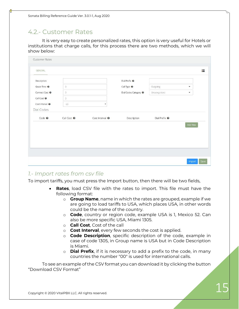### <span id="page-14-0"></span>4.2.- Customer Rates

It is very easy to create personalized rates, this option is very useful for Hotels or institutions that charge calls, for this process there are two methods, which we will show below:

| <b>Customer Rates</b>                    |                        |                            |                                                    |                          |                          |      |
|------------------------------------------|------------------------|----------------------------|----------------------------------------------------|--------------------------|--------------------------|------|
| <b>GENERAL</b>                           |                        |                            |                                                    |                          |                          | 這    |
| Description<br>Grace Time <sup>O</sup>   | $\circ$                |                            | Dial Prefix <sup>O</sup><br>Call Type <sup>O</sup> | Outgoing                 | $\overline{\phantom{a}}$ |      |
| Connect Cost <sup>O</sup>                | $\overline{0}$         |                            | Dial Codes Category <sup>O</sup>                   | Uncategorized            | $\blacktriangledown$     |      |
| Call Cost <sup>O</sup>                   | $\circ$                |                            |                                                    |                          |                          |      |
| Cost Interval <sup>O</sup><br>Dial Codes | 60                     | $\boldsymbol{\mathrm{v}}$  |                                                    |                          |                          |      |
| Code <sub>②</sub>                        | Call Cost <sup>O</sup> | Cost Interval <sup>O</sup> | Description                                        | Dial Prefix <sup>O</sup> |                          |      |
|                                          |                        |                            |                                                    |                          | Add New                  |      |
|                                          |                        |                            |                                                    |                          |                          |      |
|                                          |                        |                            |                                                    |                          |                          |      |
|                                          |                        |                            |                                                    |                          |                          |      |
|                                          |                        |                            |                                                    |                          | Import                   | Save |

### *1.- Import rates from csv file*

To import tariffs, you must press the Import button, then there will be two fields,

- **Rates**, load CSV file with the rates to import. This file must have the following format:
	- o **Group Name**, name in which the rates are grouped, example if we are going to load tariffs to USA, which places USA, in other words could be the name of the country.
	- o **Code**, country or region code, example USA is 1, Mexico 52. Can also be more specific USA, Miami 1305.
	- o **Call Cost**, Cost of the call
	- o **Cost Interval**, every few seconds the cost is applied.
	- o **Code Description**, specific description of the code, example in case of code 1305, in Group name is USA but in Code Description is Miami.
	- o **Dial Prefix**, if it is necessary to add a prefix to the code, in many countries the number "00" is used for international calls.

To see an example of the CSV format you can download it by clicking the button "Download CSV Format"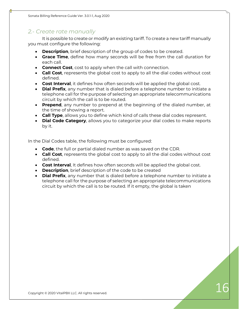#### *2.- Create rate manually*

It is possible to create or modify an existing tariff. To create a new tariff manually you must configure the following:

- **Description**, brief description of the group of codes to be created.
- **Grace Time**, define how many seconds will be free from the call duration for each call.
- **Connect Cost**, cost to apply when the call with connection.
- **Call Cost**, represents the global cost to apply to all the dial codes without cost defined.
- **Cost Interval**, it defines how often seconds will be applied the global cost.
- **Dial Prefix**, any number that is dialed before a telephone number to initiate a telephone call for the purpose of selecting an appropriate telecommunications circuit by which the call is to be routed.
- **Prepend**, any number to prepend at the beginning of the dialed number, at the time of showing a report.
- **Call Type**, allows you to define which kind of calls these dial codes represent.
- **Dial Code Category**, allows you to categorize your dial codes to make reports by it.

In the Dial Codes table, the following must be configured:

- **Code**, the full or partial dialed number as was saved on the CDR.
- **Call Cost**, represents the global cost to apply to all the dial codes without cost defined.
- **Cost Interval**, It defines how often seconds will be applied the global cost.
- **Description**, brief description of the code to be created
- **Dial Prefix**, any number that is dialed before a telephone number to initiate a telephone call for the purpose of selecting an appropriate telecommunications circuit by which the call is to be routed. If it empty, the global is taken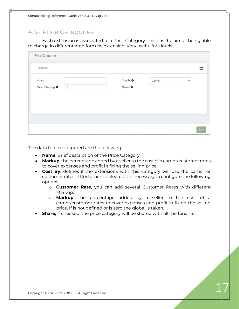### <span id="page-16-0"></span>4.3.- Price Categories

Each extension is associated to a Price Category. This has the aim of being able to charge in differentiated form by extension. Very useful for Hotels.

| <b>Price Categories</b>     |         |                      |         |              |
|-----------------------------|---------|----------------------|---------|--------------|
| <b>GENERAL</b>              |         |                      |         | 這            |
| Name                        |         | Cost By <sup>O</sup> | Carrier | $\checkmark$ |
| Default Markup <sup>O</sup> | $\circ$ | Shared <sup>O</sup>  |         |              |
|                             |         |                      |         |              |
|                             |         |                      |         |              |
|                             |         |                      |         |              |

- **Name**, Brief description of the Price Category
- **Markup**, the percentage added by a seller to the cost of a carrier/customer rates to cover expenses and profit in fixing the selling price.
- **Cost By**, defines if the extensions with this category will use the carrier or customer rates. If Customer is selected it is necessary to configure the following options.
	- o **Customer Rate**, you can add several Customer Rates with different Markup.
	- o **Markup**, the percentage added by a seller to the cost of a carrier/customer rates to cover expenses and profit in fixing the selling price. If is not defined or is zero the global is taken.
- **Share,** if checked, the price category will be shared with all the tenants.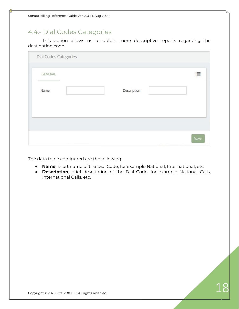### <span id="page-17-0"></span>4.4.- Dial Codes Categories

This option allows us to obtain more descriptive reports regarding the destination code.

| Dial Codes Categories |             |   |
|-----------------------|-------------|---|
| <b>GENERAL</b>        |             | 這 |
| Name                  | Description |   |
|                       |             |   |
|                       |             |   |

- **Name**, short name of the Dial Code, for example National, International, etc.
- **Description**, brief description of the Dial Code, for example National Calls, International Calls, etc.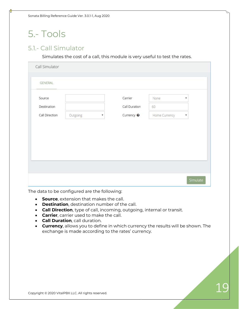# <span id="page-18-0"></span>5.- Tools

### <span id="page-18-1"></span>5.1.- Call Simulator

Simulates the cost of a call, this module is very useful to test the rates.

| Source         |          |                           | Carrier               | None          | v                         |
|----------------|----------|---------------------------|-----------------------|---------------|---------------------------|
| Destination    |          |                           | Call Duration         | 60            |                           |
| Call Direction | Outgoing | $\boldsymbol{\mathrm{v}}$ | Currency <sup>O</sup> | Home Currency | $\boldsymbol{\mathrm{v}}$ |
|                |          |                           |                       |               |                           |

- **Source**, extension that makes the call.
- **Destination**, destination number of the call.
- **Call Direction**, type of call, incoming, outgoing, internal or transit.
- **Carrier**, carrier used to make the call.
- **Call Duration**, call duration.
- **Currency**, allows you to define in which currency the results will be shown. The exchange is made according to the rates' currency.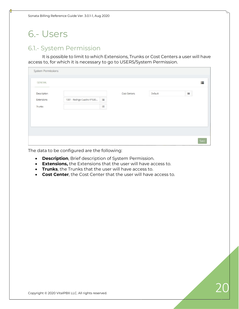Sonata Billing Reference Guide Ver. 3.0.1-1, Aug 2020

# <span id="page-19-0"></span>6.- Users

### <span id="page-19-1"></span>6.1.- System Permission

It is possible to limit to which Extensions, Trunks or Cost Centers a user will have access to, for which it is necessary to go to USERS/System Permission.

| GENERAL     |                             |          |              |         |          | 這 |
|-------------|-----------------------------|----------|--------------|---------|----------|---|
| Description |                             |          | Cost Centers | Default | $\equiv$ |   |
| Extensions  | 1001 - Rodrigo Cuadra VP530 | $\equiv$ |              |         |          |   |
| Trunks      |                             | $\equiv$ |              |         |          |   |
|             |                             |          |              |         |          |   |
|             |                             |          |              |         |          |   |
|             |                             |          |              |         |          |   |
|             |                             |          |              |         |          |   |

- **Description**, Brief description of System Permission.
- **Extensions,** the Extensions that the user will have access to.
- **Trunks**, the Trunks that the user will have access to.
- **Cost Center**, the Cost Center that the user will have access to.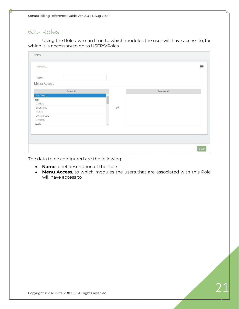Sonata Billing Reference Guide Ver. 3.0.1-1, Aug 2020

### <span id="page-20-0"></span>6.2.- Roles

Using the Roles, we can limit to which modules the user will have access to, for which it is necessary to go to USERS/Roles.

|                          | Remove All |  |
|--------------------------|------------|--|
|                          |            |  |
|                          |            |  |
|                          |            |  |
| ₽                        |            |  |
|                          |            |  |
|                          |            |  |
|                          |            |  |
| $\overline{\phantom{a}}$ |            |  |
|                          |            |  |
|                          |            |  |
|                          |            |  |

- **Name**, brief description of the Role
- **Menu Access**, to which modules the users that are associated with this Role will have access to.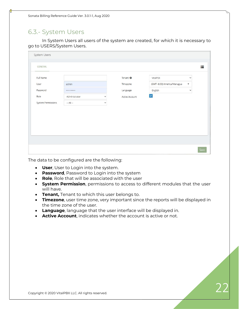### <span id="page-21-0"></span>6.3.- System Users

In System Users all users of the system are created, for which it is necessary to go to USERS/System Users.

| Full Name                 |               |              | Tenant <sup>O</sup>   | VitalPBX                   | $\checkmark$ |
|---------------------------|---------------|--------------|-----------------------|----------------------------|--------------|
| User                      | admin         |              | Timezone              | (GMT-6:00) America/Managua | v.           |
| Password                  |               |              | Language              | English                    | $\checkmark$ |
| Role                      | Administrator | $\checkmark$ | <b>Active Account</b> | $\checkmark$               |              |
| <b>System Permissions</b> | $-A$ ll $-$   | $\checkmark$ |                       |                            |              |
|                           |               |              |                       |                            |              |
|                           |               |              |                       |                            |              |
|                           |               |              |                       |                            |              |
|                           |               |              |                       |                            |              |

- **User**, User to Login into the system.
- **Password**, Password to Login into the system
- **Role**, Role that will be associated with the user
- **System Permission**, permissions to access to different modules that the user will have.
- **Tenant,** Tenant to which this user belongs to.
- **Timezone**, user time zone, very important since the reports will be displayed in the time zone of the user.
- **Language**, language that the user interface will be displayed in.
- **Active Account**, indicates whether the account is active or not.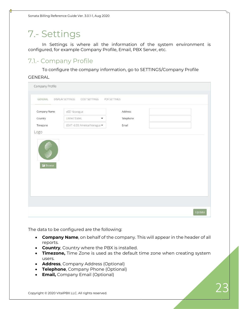# <span id="page-22-0"></span>7.- Settings

In Settings is where all the information of the system environment is configured, for example Company Profile, Email, PBX Server, etc.

### <span id="page-22-1"></span>7.1.- Company Profile

To configure the company information, go to SETTINGS/Company Profile

#### GENERAL

| Company Profile       |                                   |              |        |
|-----------------------|-----------------------------------|--------------|--------|
| <b>GENERAL</b>        | DISPLAY SETTINGS<br>COST SETTINGS | PDF SETTINGS |        |
| Company Name          | eBD Nicaragua                     | Address      |        |
| Country               | <b>United States</b><br>۰         | Telephone    |        |
| Timezone              | (GMT-6:00) America/Managua ▼      | Email        |        |
| Logo                  |                                   |              |        |
| $\blacksquare$ Browse |                                   |              |        |
|                       |                                   |              | Update |

- **Company Name**, on behalf of the company. This will appear in the header of all reports.
- **Country**, Country where the PBX is installed.
- **Timezone,** Time Zone is used as the default time zone when creating system users.
- **Address**, Company Address (Optional)
- **Telephone**, Company Phone (Optional)
- **Email,** Company Email (Optional)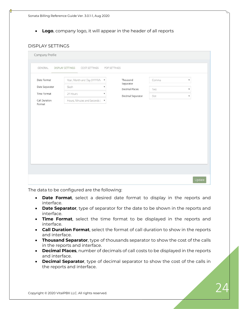• **Logo**, company logo, it will appear in the header of all reports

#### DISPLAY SETTINGS

| GENERAL                 | <b>DISPLAY SETTINGS</b><br>COST SETTINGS | PDF SETTINGS |                       |       |                           |
|-------------------------|------------------------------------------|--------------|-----------------------|-------|---------------------------|
| Date Format             | Year, Month and Day (YYYYMN v            |              | Thousand<br>Separator | Comma | $\boldsymbol{\mathrm{v}}$ |
| Date Separator          | Slash                                    | v            | Decimal Places        | Two   | $\overline{\mathbf v}$    |
| Time Format             | 24 Hours                                 |              | Decimal Separator     | Dot   | v                         |
| Call Duration<br>Format | Hours, Minutes and Seconds ( v           |              |                       |       |                           |
|                         |                                          |              |                       |       |                           |

- **Date Format**, select a desired date format to display in the reports and interface.
- **Date Separator**, type of separator for the date to be shown in the reports and interface.
- **Time Format**, select the time format to be displayed in the reports and interface.
- **Call Duration Format**, select the format of call duration to show in the reports and interface.
- **Thousand Separator**, type of thousands separator to show the cost of the calls in the reports and interface.
- **Decimal Places**, number of decimals of call costs to be displayed in the reports and interface.
- **Decimal Separator**, type of decimal separator to show the cost of the calls in the reports and interface.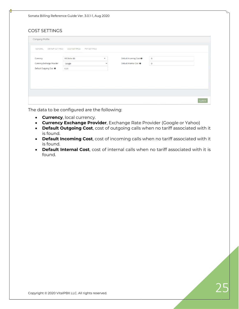#### COST SETTINGS

| GENERAL<br>DISPLAY SETTINGS | <b>COST SETTINGS</b><br>PDF SETTINGS |              |                                    |             |  |
|-----------------------------|--------------------------------------|--------------|------------------------------------|-------------|--|
| Currency                    | US Dollar (\$)                       | ۰            | Default Incoming Cost <sup>O</sup> | $\mathbf 0$ |  |
| Currency Exchange Provider  | Google                               | $\checkmark$ | Default Internal Cost @            | $\,0$       |  |
| Default Outgoing Cost @     | 0.25                                 |              |                                    |             |  |
|                             |                                      |              |                                    |             |  |
|                             |                                      |              |                                    |             |  |
|                             |                                      |              |                                    |             |  |
|                             |                                      |              |                                    |             |  |

- **Currency**, local currency.
- **Currency Exchange Provider**, Exchange Rate Provider (Google or Yahoo)
- **Default Outgoing Cost**, cost of outgoing calls when no tariff associated with it is found.
- **Default Incoming Cost**, cost of incoming calls when no tariff associated with it is found.
- **Default Internal Cost**, cost of internal calls when no tariff associated with it is found.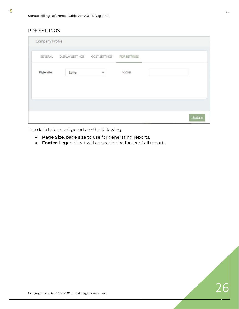Sonata Billing Reference Guide Ver. 3.0.1-1, Aug 2020

#### PDF SETTINGS

| Company Profile |                                             |              |        |  |
|-----------------|---------------------------------------------|--------------|--------|--|
| GENERAL         | DISPLAY SETTINGS COST SETTINGS PDF SETTINGS |              |        |  |
| Page Size       | Letter                                      | $\checkmark$ | Footer |  |
|                 |                                             |              |        |  |
|                 |                                             |              |        |  |
|                 |                                             |              |        |  |

- **Page Size**, page size to use for generating reports.
- **Footer**, Legend that will appear in the footer of all reports.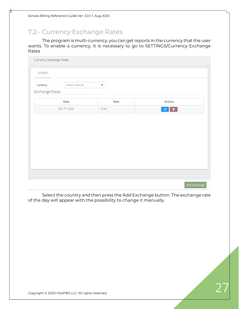### <span id="page-26-0"></span>7.2.- Currency Exchange Rates

The program is multi-currency, you can get reports in the currency that the user wants. To enable a currency, it is necessary to go to SETTINGS/Currency Exchange Rates

| Currency Exchange Rates |                  |                      |                                         |
|-------------------------|------------------|----------------------|-----------------------------------------|
| GENERAL                 |                  |                      |                                         |
| Currency                | Mexico Peso (\$) | $\blacktriangledown$ |                                         |
| Exchange Rates          |                  |                      |                                         |
|                         | Date             | Rate                 | Actions                                 |
| 2017/10/20              |                  | 19.04                | $\blacksquare$<br>$\mathbb{Z}^{\times}$ |
|                         |                  |                      |                                         |
|                         |                  |                      |                                         |
|                         |                  |                      |                                         |

Select the country and then press the Add Exchange button. The exchange rate of the day will appear with the possibility to change it manually.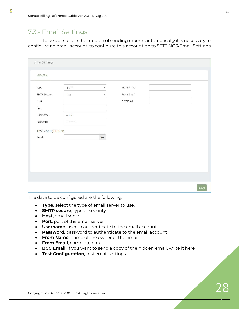Sonata Billing Reference Guide Ver. 3.0.1-1, Aug 2020

### <span id="page-27-0"></span>7.3.- Email Settings

To be able to use the module of sending reports automatically it is necessary to configure an email account, to configure this account go to SETTINGS/Email Settings

| Type<br>From Name<br>SMPT<br>$\boldsymbol{\mathrm{v}}$<br>From Email<br><b>SMTP Secure</b><br>TLS<br>$\boldsymbol{\mathrm{v}}$<br>Host<br><b>BCC Email</b> |  |
|------------------------------------------------------------------------------------------------------------------------------------------------------------|--|
|                                                                                                                                                            |  |
|                                                                                                                                                            |  |
|                                                                                                                                                            |  |
| Port                                                                                                                                                       |  |
| Username<br>admin                                                                                                                                          |  |
| Password<br>                                                                                                                                               |  |
| <b>Test Configuration</b>                                                                                                                                  |  |
|                                                                                                                                                            |  |
|                                                                                                                                                            |  |
|                                                                                                                                                            |  |
|                                                                                                                                                            |  |
|                                                                                                                                                            |  |
| Email<br>$\blacksquare$                                                                                                                                    |  |

- **Type,** select the type of email server to use.
- **SMTP secure**, type of security
- **Host,** email server
- **Port**, port of the email server
- **Username**, user to authenticate to the email account
- **Password**, password to authenticate to the email account
- **From Name**, name of the owner of the email
- **From Email**, complete email
- **BCC Email**, if you want to send a copy of the hidden email, write it here
- **Test Configuration**, test email settings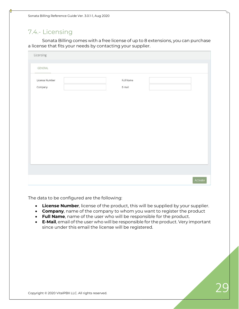### <span id="page-28-0"></span>7.4.- Licensing

Sonata Billing comes with a free license of up to 8 extensions, you can purchase a license that fits your needs by contacting your supplier.

| Licensing                 |                     |  |
|---------------------------|---------------------|--|
| GENERAL                   |                     |  |
| License Number<br>Company | Full Name<br>E-mail |  |
|                           |                     |  |
|                           |                     |  |
|                           |                     |  |
|                           |                     |  |
|                           |                     |  |
|                           |                     |  |
|                           |                     |  |

- **License Number**, license of the product, this will be supplied by your supplier.
- **Company**, name of the company to whom you want to register the product
- **Full Name**, name of the user who will be responsible for the product.
- **E-Mail**, email of the user who will be responsible for the product. Very important since under this email the license will be registered.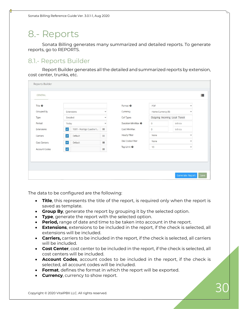# <span id="page-29-0"></span>8.- Reports

Sonata Billing generates many summarized and detailed reports. To generate reports, go to REPORTS.

### <span id="page-29-1"></span>8.1.- Reports Builder

Report Builder generates all the detailed and summarized reports by extension, cost center, trunks, etc.

| Title <sup>O</sup>   |                                                  |              | Format <sup>O</sup>           | PDF                | $\checkmark$                    |  |
|----------------------|--------------------------------------------------|--------------|-------------------------------|--------------------|---------------------------------|--|
| Grouped By           | Extensions                                       | $\checkmark$ | Currency                      | Home Currency (\$) | $\checkmark$                    |  |
| Type                 | Detailed                                         | $\checkmark$ | Call Types                    |                    | Outgoing Incoming Local Transit |  |
| Period               | Today                                            | $\checkmark$ | Duration Min/Max <sup>O</sup> | $\circ$            | Infinite                        |  |
| Extensions           | $\blacktriangleright$<br>1001 - Rodrigo Cuadra V | $\equiv$     | Cost Min/Max                  | $\circ$            | Infinite                        |  |
| Carriers             | $\checkmark$<br>Default                          | 這            | Hourly Filter                 | None               | $\checkmark$                    |  |
| Cost Centers         | $\blacktriangledown$<br>Default                  | 這            | Dial Codes Filter             | None               | $\checkmark$                    |  |
| <b>Account Codes</b> | $\blacktriangledown$                             | $\equiv$     | Top Limit <sup>O</sup>        | 10                 | $\checkmark$                    |  |
|                      |                                                  |              |                               |                    |                                 |  |

- **Title**, this represents the title of the report, is required only when the report is saved as template.
- **Group By**, generate the report by grouping it by the selected option.
- **Type**, generate the report with the selected option.
- **Period,** range of date and time to be taken into account in the report.
- **Extensions**, extensions to be included in the report, if the check is selected, all extensions will be included.
- **Carriers,** carriers to be included in the report, if the check is selected, all carriers will be included.
- **Cost Center**, cost center to be included in the report, if the check is selected, all cost centers will be included.
- **Account Codes**, account codes to be included in the report, if the check is selected, all account codes will be included.
- **Format**, defines the format in which the report will be exported.
- **Currency**, currency to show report.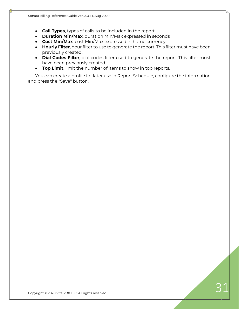- **Call Types**, types of calls to be included in the report.
- **Duration Min/Max**, duration Min/Max expressed in seconds
- **Cost Min/Max**, cost Min/Max expressed in home currency
- **Hourly Filter**, hour filter to use to generate the report. This filter must have been previously created.
- **Dial Codes Filter**, dial codes filter used to generate the report. This filter must have been previously created.
- **Top Limit**, limit the number of items to show in top reports.

You can create a profile for later use in Report Schedule, configure the information and press the "Save" button.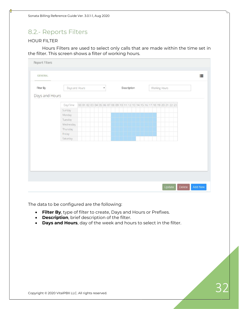### <span id="page-31-0"></span>8.2.- Reports Filters

#### HOUR FILTER

Hours Filters are used to select only calls that are made within the time set in the filter. This screen shows a filter of working hours.

| Filter By<br>Days and Hours | Days and Hours |  |                                                                         |  | $\overline{\mathbf{v}}$ |  |  | Description |  |  |  | Working Hours |  |  |  |  |
|-----------------------------|----------------|--|-------------------------------------------------------------------------|--|-------------------------|--|--|-------------|--|--|--|---------------|--|--|--|--|
|                             | Day\Time       |  | 00 01 02 03 04 05 06 07 08 09 10 11 12 13 14 15 16 17 18 19 20 21 22 23 |  |                         |  |  |             |  |  |  |               |  |  |  |  |
|                             | Sunday         |  |                                                                         |  |                         |  |  |             |  |  |  |               |  |  |  |  |
|                             | Monday         |  |                                                                         |  |                         |  |  |             |  |  |  |               |  |  |  |  |
|                             | Tuesday        |  |                                                                         |  |                         |  |  |             |  |  |  |               |  |  |  |  |
|                             | Wednesday      |  |                                                                         |  |                         |  |  |             |  |  |  |               |  |  |  |  |
|                             | Thursday       |  |                                                                         |  |                         |  |  |             |  |  |  |               |  |  |  |  |
|                             | Friday         |  |                                                                         |  |                         |  |  |             |  |  |  |               |  |  |  |  |
|                             | Saturday       |  |                                                                         |  |                         |  |  |             |  |  |  |               |  |  |  |  |
|                             |                |  |                                                                         |  |                         |  |  |             |  |  |  |               |  |  |  |  |

- **Filter By**, type of filter to create, Days and Hours or Prefixes.
- **Description**, brief description of the filter.
- **Days and Hours**, day of the week and hours to select in the filter.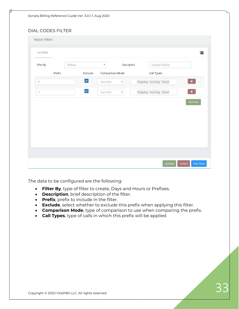#### DIAL CODES FILTER

| Report Filters |                      |                            |                      |                           |                              |
|----------------|----------------------|----------------------------|----------------------|---------------------------|------------------------------|
| <b>GENERAL</b> |                      |                            |                      |                           | 這                            |
| Filter By      | Prefixes             | $\pmb{\mathrm{v}}$         | Description          | Exclude Prefixes          |                              |
| Prefix         |                      | Exclude<br>Comparison Mode |                      | Call Types                |                              |
| 8              | $\blacktriangledown$ | Start With                 | $\pmb{\mathrm{v}}$   | Outgoing Incoming Transit | $\langle \mathbf{x} \rangle$ |
| 7              | $\checkmark$         | Start With                 | $\blacktriangledown$ | Outgoing Incoming Transit | $\mathbf{x}_i$               |
|                |                      |                            |                      |                           | Add New                      |
|                |                      |                            |                      | Update                    | Add New<br>Delete            |

- **Filter By**, type of filter to create, Days and Hours or Prefixes.
- **Description**, brief description of the filter.
- **Prefix**, prefix to include in the filter.
- **Exclude**, select whether to exclude this prefix when applying this filter.
- **Comparison Mode**, type of comparison to use when comparing the prefix.
- **Call Types**, type of calls in which this prefix will be applied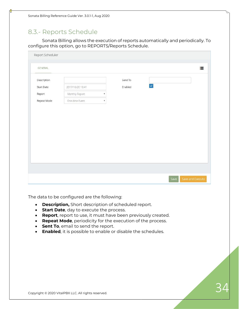### <span id="page-33-0"></span>8.3.- Reports Schedule

Sonata Billing allows the execution of reports automatically and periodically. To configure this option, go to REPORTS/Reports Schedule.

|                  |                    | Send To |              |  |
|------------------|--------------------|---------|--------------|--|
| 2017/10/20 10:41 |                    | Enabled | $\checkmark$ |  |
| Monthly Report   | $\pmb{\mathrm{v}}$ |         |              |  |
| One-time Event   | ٧.                 |         |              |  |
|                  |                    |         |              |  |
|                  |                    |         |              |  |

- **Description,** Short description of scheduled report.
- **Start Date**, day to execute the process.
- **Report**, report to use, it must have been previously created.
- **Repeat Mode**, periodicity for the execution of the process.
- **Sent To**, email to send the report.
- **Enabled**, it is possible to enable or disable the schedules.